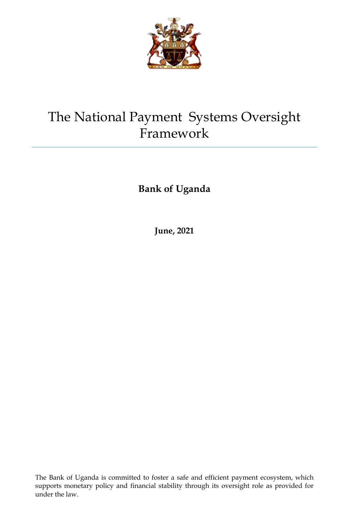

# The National Payment Systems Oversight Framework

**Bank of Uganda**

**June, 2021**

The Bank of Uganda is committed to foster a safe and efficient payment ecosystem, which supports monetary policy and financial stability through its oversight role as provided for under the law.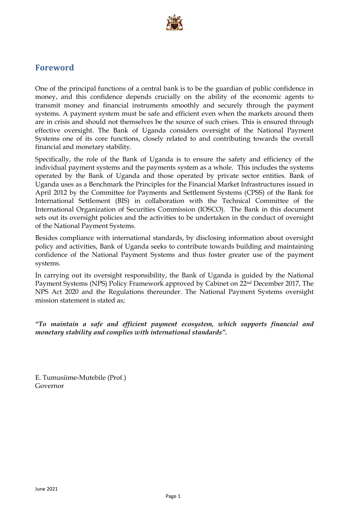

### <span id="page-1-0"></span>**Foreword**

One of the principal functions of a central bank is to be the guardian of public confidence in money, and this confidence depends crucially on the ability of the economic agents to transmit money and financial instruments smoothly and securely through the payment systems. A payment system must be safe and efficient even when the markets around them are in crisis and should not themselves be the source of such crises. This is ensured through effective oversight. The Bank of Uganda considers oversight of the National Payment Systems one of its core functions, closely related to and contributing towards the overall financial and monetary stability.

Specifically, the role of the Bank of Uganda is to ensure the safety and efficiency of the individual payment systems and the payments system as a whole. This includes the systems operated by the Bank of Uganda and those operated by private sector entities. Bank of Uganda uses as a Benchmark the Principles for the Financial Market Infrastructures issued in April 2012 by the Committee for Payments and Settlement Systems (CPSS) of the Bank for International Settlement (BIS) in collaboration with the Technical Committee of the International Organization of Securities Commission (IOSCO). The Bank in this document sets out its oversight policies and the activities to be undertaken in the conduct of oversight of the National Payment Systems.

Besides compliance with international standards, by disclosing information about oversight policy and activities, Bank of Uganda seeks to contribute towards building and maintaining confidence of the National Payment Systems and thus foster greater use of the payment systems.

In carrying out its oversight responsibility, the Bank of Uganda is guided by the National Payment Systems (NPS) Policy Framework approved by Cabinet on 22nd December 2017, The NPS Act 2020 and the Regulations thereunder. The National Payment Systems oversight mission statement is stated as;

*"To maintain a safe and efficient payment ecosystem, which supports financial and monetary stability and complies with international standards".*

E. Tumusiime-Mutebile (Prof.) Governor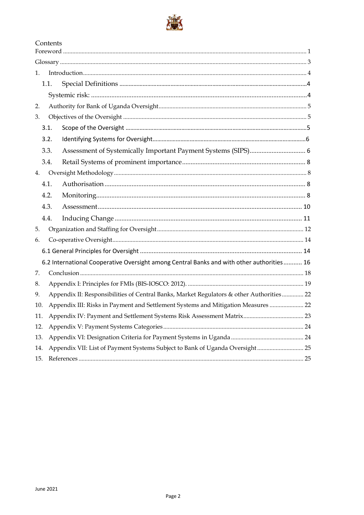

|     | Contents                                                                                 |                                                                                           |  |  |
|-----|------------------------------------------------------------------------------------------|-------------------------------------------------------------------------------------------|--|--|
|     |                                                                                          |                                                                                           |  |  |
| 1.  |                                                                                          |                                                                                           |  |  |
|     | 1.1.                                                                                     |                                                                                           |  |  |
|     |                                                                                          |                                                                                           |  |  |
| 2.  |                                                                                          |                                                                                           |  |  |
| 3.  |                                                                                          |                                                                                           |  |  |
|     | 3.1.                                                                                     |                                                                                           |  |  |
|     | 3.2.                                                                                     |                                                                                           |  |  |
|     | 3.3.                                                                                     |                                                                                           |  |  |
|     | 3.4.                                                                                     |                                                                                           |  |  |
| 4.  |                                                                                          |                                                                                           |  |  |
|     | 4.1.                                                                                     |                                                                                           |  |  |
|     | 4.2.                                                                                     |                                                                                           |  |  |
|     | 4.3.                                                                                     |                                                                                           |  |  |
|     | 4.4.                                                                                     |                                                                                           |  |  |
| 5.  |                                                                                          |                                                                                           |  |  |
| 6.  |                                                                                          |                                                                                           |  |  |
|     |                                                                                          |                                                                                           |  |  |
|     |                                                                                          | 6.2 International Cooperative Oversight among Central Banks and with other authorities 16 |  |  |
| 7.  |                                                                                          |                                                                                           |  |  |
| 8.  |                                                                                          |                                                                                           |  |  |
| 9.  | Appendix II: Responsibilities of Central Banks, Market Regulators & other Authorities 22 |                                                                                           |  |  |
| 10. | Appendix III: Risks in Payment and Settlement Systems and Mitigation Measures  22        |                                                                                           |  |  |
| 11. |                                                                                          |                                                                                           |  |  |
| 12. |                                                                                          |                                                                                           |  |  |
| 13. |                                                                                          |                                                                                           |  |  |
| 14. | Appendix VII: List of Payment Systems Subject to Bank of Uganda Oversight 25             |                                                                                           |  |  |
| 15. |                                                                                          |                                                                                           |  |  |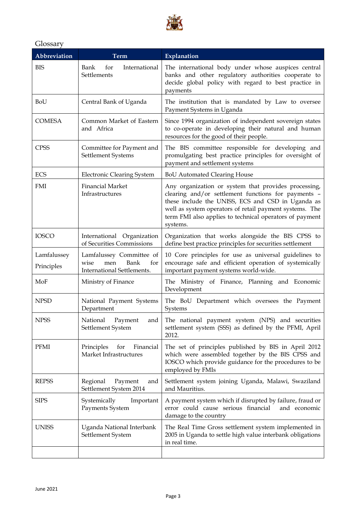

### <span id="page-3-0"></span>Glossary

| Abbreviation              | <b>Term</b>                                                                          | Explanation                                                                                                                                                                                                                                                                                        |  |
|---------------------------|--------------------------------------------------------------------------------------|----------------------------------------------------------------------------------------------------------------------------------------------------------------------------------------------------------------------------------------------------------------------------------------------------|--|
| <b>BIS</b>                | Bank<br>for<br>International<br>Settlements                                          | The international body under whose auspices central<br>banks and other regulatory authorities cooperate to<br>decide global policy with regard to best practice in<br>payments                                                                                                                     |  |
| BoU                       | Central Bank of Uganda                                                               | The institution that is mandated by Law to oversee<br>Payment Systems in Uganda                                                                                                                                                                                                                    |  |
| <b>COMESA</b>             | Common Market of Eastern<br>and Africa                                               | Since 1994 organization of independent sovereign states<br>to co-operate in developing their natural and human<br>resources for the good of their people.                                                                                                                                          |  |
| <b>CPSS</b>               | Committee for Payment and<br>Settlement Systems                                      | The BIS committee responsible for developing and<br>promulgating best practice principles for oversight of<br>payment and settlement systems                                                                                                                                                       |  |
| ECS                       | <b>Electronic Clearing System</b>                                                    | <b>BoU Automated Clearing House</b>                                                                                                                                                                                                                                                                |  |
| <b>FMI</b>                | <b>Financial Market</b><br>Infrastructures                                           | Any organization or system that provides processing,<br>clearing and/or settlement functions for payments -<br>these include the UNISS, ECS and CSD in Uganda as<br>well as system operators of retail payment systems. The<br>term FMI also applies to technical operators of payment<br>systems. |  |
| <b>IOSCO</b>              | International Organization<br>of Securities Commissions                              | Organization that works alongside the BIS CPSS to<br>define best practice principles for securities settlement                                                                                                                                                                                     |  |
| Lamfalussey<br>Principles | Lamfalussey Committee of<br>Bank<br>men<br>for<br>wise<br>International Settlements. | 10 Core principles for use as universal guidelines to<br>encourage safe and efficient operation of systemically<br>important payment systems world-wide.                                                                                                                                           |  |
| MoF                       | Ministry of Finance                                                                  | The Ministry of Finance, Planning and Economic<br>Development                                                                                                                                                                                                                                      |  |
| <b>NPSD</b>               | National Payment Systems<br>Department                                               | The BoU Department which oversees the Payment<br>Systems                                                                                                                                                                                                                                           |  |
| <b>NPSS</b>               | National<br>Payment<br>and<br>Settlement System                                      | The national payment system (NPS) and securities<br>settlement system (SSS) as defined by the PFMI, April<br>2012.                                                                                                                                                                                 |  |
| PFMI                      | Principles<br>for<br>Financial<br>Market Infrastructures                             | The set of principles published by BIS in April 2012<br>which were assembled together by the BIS CPSS and<br>IOSCO which provide guidance for the procedures to be<br>employed by FMIs                                                                                                             |  |
| <b>REPSS</b>              | Regional<br>Payment<br>and<br>Settlement System 2014                                 | Settlement system joining Uganda, Malawi, Swaziland<br>and Mauritius.                                                                                                                                                                                                                              |  |
| <b>SIPS</b>               | Systemically<br>Important<br>Payments System                                         | A payment system which if disrupted by failure, fraud or<br>error could cause serious financial<br>and economic<br>damage to the country                                                                                                                                                           |  |
| <b>UNISS</b>              | Uganda National Interbank<br>Settlement System                                       | The Real Time Gross settlement system implemented in<br>2005 in Uganda to settle high value interbank obligations<br>in real time.                                                                                                                                                                 |  |
|                           |                                                                                      |                                                                                                                                                                                                                                                                                                    |  |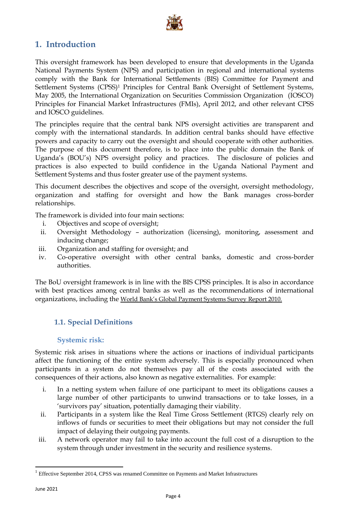

# <span id="page-4-0"></span>**1. Introduction**

This oversight framework has been developed to ensure that developments in the Uganda National Payments System (NPS) and participation in regional and international systems comply with the Bank for International Settlements (BIS) Committee for Payment and Settlement Systems (CPSS)<sup>1</sup> Principles for Central Bank Oversight of Settlement Systems, May 2005, the International Organization on Securities Commission Organization (IOSCO) Principles for Financial Market Infrastructures (FMIs), April 2012, and other relevant CPSS and IOSCO guidelines.

The principles require that the central bank NPS oversight activities are transparent and comply with the international standards. In addition central banks should have effective powers and capacity to carry out the oversight and should cooperate with other authorities. The purpose of this document therefore, is to place into the public domain the Bank of Uganda's (BOU's) NPS oversight policy and practices. The disclosure of policies and practices is also expected to build confidence in the Uganda National Payment and Settlement Systems and thus foster greater use of the payment systems.

This document describes the objectives and scope of the oversight, oversight methodology, organization and staffing for oversight and how the Bank manages cross-border relationships.

The framework is divided into four main sections:

- i. Objectives and scope of oversight;
- ii. Oversight Methodology authorization (licensing), monitoring, assessment and inducing change;
- iii. Organization and staffing for oversight; and
- iv. Co-operative oversight with other central banks, domestic and cross-border authorities.

<span id="page-4-1"></span>The BoU oversight framework is in line with the BIS CPSS principles. It is also in accordance with best practices among central banks as well as the recommendations of international organizations, including the World Bank's Global Payment Systems Survey Report 2010.

### **1.1. Special Definitions**

### **Systemic risk:**

<span id="page-4-2"></span>Systemic risk arises in situations where the actions or inactions of individual participants affect the functioning of the entire system adversely. This is especially pronounced when participants in a system do not themselves pay all of the costs associated with the consequences of their actions, also known as negative externalities. For example:

- i. In a netting system when failure of one participant to meet its obligations causes a large number of other participants to unwind transactions or to take losses, in a 'survivors pay' situation, potentially damaging their viability.
- ii. Participants in a system like the Real Time Gross Settlement (RTGS) clearly rely on inflows of funds or securities to meet their obligations but may not consider the full impact of delaying their outgoing payments.
- iii. A network operator may fail to take into account the full cost of a disruption to the system through under investment in the security and resilience systems.

 $\ddot{\phantom{a}}$ 

<sup>1</sup> Effective September 2014, CPSS was renamed Committee on Payments and Market Infrastructures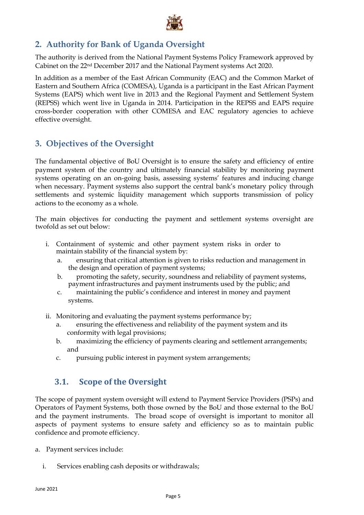

# <span id="page-5-0"></span>**2. Authority for Bank of Uganda Oversight**

The authority is derived from the National Payment Systems Policy Framework approved by Cabinet on the 22nd December 2017 and the National Payment systems Act 2020.

In addition as a member of the East African Community (EAC) and the Common Market of Eastern and Southern Africa (COMESA), Uganda is a participant in the East African Payment Systems (EAPS) which went live in 2013 and the Regional Payment and Settlement System (REPSS) which went live in Uganda in 2014. Participation in the REPSS and EAPS require cross-border cooperation with other COMESA and EAC regulatory agencies to achieve effective oversight.

# <span id="page-5-1"></span>**3. Objectives of the Oversight**

The fundamental objective of BoU Oversight is to ensure the safety and efficiency of entire payment system of the country and ultimately financial stability by monitoring payment systems operating on an on-going basis, assessing systems' features and inducing change when necessary. Payment systems also support the central bank's monetary policy through settlements and systemic liquidity management which supports transmission of policy actions to the economy as a whole.

The main objectives for conducting the payment and settlement systems oversight are twofold as set out below:

- i. Containment of systemic and other payment system risks in order to maintain stability of the financial system by:
	- a. ensuring that critical attention is given to risks reduction and management in the design and operation of payment systems;
	- b. promoting the safety, security, soundness and reliability of payment systems, payment infrastructures and payment instruments used by the public; and
	- c. maintaining the public's confidence and interest in money and payment systems.
- ii. Monitoring and evaluating the payment systems performance by;
	- a. ensuring the effectiveness and reliability of the payment system and its conformity with legal provisions;
	- b. maximizing the efficiency of payments clearing and settlement arrangements; and
	- c. pursuing public interest in payment system arrangements;

# <span id="page-5-2"></span>**3.1. Scope of the Oversight**

The scope of payment system oversight will extend to Payment Service Providers (PSPs) and Operators of Payment Systems, both those owned by the BoU and those external to the BoU and the payment instruments. The broad scope of oversight is important to monitor all aspects of payment systems to ensure safety and efficiency so as to maintain public confidence and promote efficiency.

- a. Payment services include:
	- i. Services enabling cash deposits or withdrawals;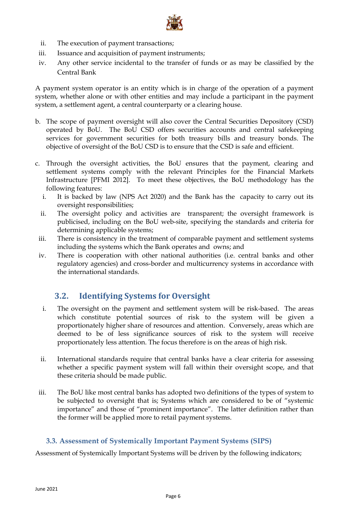

- ii. The execution of payment transactions;
- iii. Issuance and acquisition of payment instruments;
- iv. Any other service incidental to the transfer of funds or as may be classified by the Central Bank

A payment system operator is an entity which is in charge of the operation of a payment system, whether alone or with other entities and may include a participant in the payment system, a settlement agent, a central counterparty or a clearing house.

- b. The scope of payment oversight will also cover the Central Securities Depository (CSD) operated by BoU. The BoU CSD offers securities accounts and central safekeeping services for government securities for both treasury bills and treasury bonds. The objective of oversight of the BoU CSD is to ensure that the CSD is safe and efficient.
- c. Through the oversight activities, the BoU ensures that the payment, clearing and settlement systems comply with the relevant Principles for the Financial Markets Infrastructure [PFMI 2012]. To meet these objectives, the BoU methodology has the following features:
	- i. It is backed by law (NPS Act 2020) and the Bank has the capacity to carry out its oversight responsibilities;
	- ii. The oversight policy and activities are transparent; the oversight framework is publicised, including on the BoU web-site, specifying the standards and criteria for determining applicable systems;
	- iii. There is consistency in the treatment of comparable payment and settlement systems including the systems which the Bank operates and owns; and
	- iv. There is cooperation with other national authorities (i.e. central banks and other regulatory agencies) and cross-border and multicurrency systems in accordance with the international standards.

### <span id="page-6-0"></span>**3.2. Identifying Systems for Oversight**

- i. The oversight on the payment and settlement system will be risk-based. The areas which constitute potential sources of risk to the system will be given a proportionately higher share of resources and attention. Conversely, areas which are deemed to be of less significance sources of risk to the system will receive proportionately less attention. The focus therefore is on the areas of high risk.
- ii. International standards require that central banks have a clear criteria for assessing whether a specific payment system will fall within their oversight scope, and that these criteria should be made public.
- iii. The BoU like most central banks has adopted two definitions of the types of system to be subjected to oversight that is; Systems which are considered to be of "systemic importance" and those of "prominent importance". The latter definition rather than the former will be applied more to retail payment systems.

### <span id="page-6-1"></span>**3.3. Assessment of Systemically Important Payment Systems (SIPS)**

Assessment of Systemically Important Systems will be driven by the following indicators;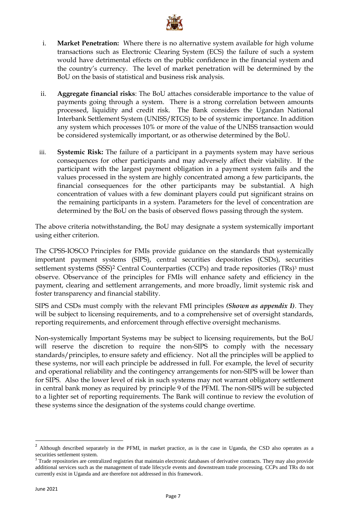

- i. **Market Penetration:** Where there is no alternative system available for high volume transactions such as Electronic Clearing System (ECS) the failure of such a system would have detrimental effects on the public confidence in the financial system and the country's currency. The level of market penetration will be determined by the BoU on the basis of statistical and business risk analysis.
- ii. **Aggregate financial risks**: The BoU attaches considerable importance to the value of payments going through a system. There is a strong correlation between amounts processed, liquidity and credit risk. The Bank considers the Ugandan National Interbank Settlement System (UNISS/RTGS) to be of systemic importance. In addition any system which processes 10% or more of the value of the UNISS transaction would be considered systemically important, or as otherwise determined by the BoU.
- iii. **Systemic Risk:** The failure of a participant in a payments system may have serious consequences for other participants and may adversely affect their viability. If the participant with the largest payment obligation in a payment system fails and the values processed in the system are highly concentrated among a few participants, the financial consequences for the other participants may be substantial. A high concentration of values with a few dominant players could put significant strains on the remaining participants in a system. Parameters for the level of concentration are determined by the BoU on the basis of observed flows passing through the system.

The above criteria notwithstanding, the BoU may designate a system systemically important using either criterion.

The CPSS-IOSCO Principles for FMIs provide guidance on the standards that systemically important payment systems (SIPS), central securities depositories (CSDs), securities settlement systems (SSS)<sup>2</sup> Central Counterparties (CCPs) and trade repositories (TRs)<sup>3</sup> must observe. Observance of the principles for FMIs will enhance safety and efficiency in the payment, clearing and settlement arrangements, and more broadly, limit systemic risk and foster transparency and financial stability.

SIPS and CSDs must comply with the relevant FMI principles *(Shown as appendix I)*. They will be subject to licensing requirements, and to a comprehensive set of oversight standards, reporting requirements, and enforcement through effective oversight mechanisms.

Non-systemically Important Systems may be subject to licensing requirements, but the BoU will reserve the discretion to require the non-SIPS to comply with the necessary standards/principles, to ensure safety and efficiency. Not all the principles will be applied to these systems, nor will each principle be addressed in full. For example, the level of security and operational reliability and the contingency arrangements for non-SIPS will be lower than for SIPS. Also the lower level of risk in such systems may not warrant obligatory settlement in central bank money as required by principle 9 of the PFMI. The non-SIPS will be subjected to a lighter set of reporting requirements. The Bank will continue to review the evolution of these systems since the designation of the systems could change overtime.

 $\ddot{\phantom{a}}$ 

<sup>2</sup> Although described separately in the PFMI, in market practice, as is the case in Uganda, the CSD also operates as a securities settlement system.

<sup>&</sup>lt;sup>3</sup> Trade repositories are centralized registries that maintain electronic databases of derivative contracts. They may also provide additional services such as the management of trade lifecycle events and downstream trade processing. CCPs and TRs do not currently exist in Uganda and are therefore not addressed in this framework.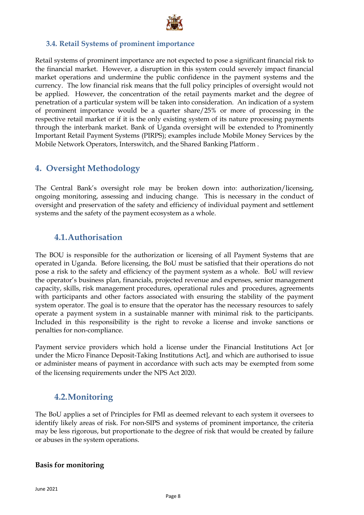

### <span id="page-8-0"></span>**3.4. Retail Systems of prominent importance**

Retail systems of prominent importance are not expected to pose a significant financial risk to the financial market. However, a disruption in this system could severely impact financial market operations and undermine the public confidence in the payment systems and the currency. The low financial risk means that the full policy principles of oversight would not be applied. However, the concentration of the retail payments market and the degree of penetration of a particular system will be taken into consideration. An indication of a system of prominent importance would be a quarter share/25% or more of processing in the respective retail market or if it is the only existing system of its nature processing payments through the interbank market. Bank of Uganda oversight will be extended to Prominently Important Retail Payment Systems (PIRPS); examples include Mobile Money Services by the Mobile Network Operators, Interswitch, and the Shared Banking Platform .

### <span id="page-8-1"></span>**4. Oversight Methodology**

The Central Bank's oversight role may be broken down into: authorization/licensing, ongoing monitoring, assessing and inducing change. This is necessary in the conduct of oversight and preservation of the safety and efficiency of individual payment and settlement systems and the safety of the payment ecosystem as a whole.

# <span id="page-8-2"></span>**4.1.Authorisation**

The BOU is responsible for the authorization or licensing of all Payment Systems that are operated in Uganda. Before licensing, the BoU must be satisfied that their operations do not pose a risk to the safety and efficiency of the payment system as a whole. BoU will review the operator's business plan, financials, projected revenue and expenses, senior management capacity, skills, risk management procedures, operational rules and procedures, agreements with participants and other factors associated with ensuring the stability of the payment system operator. The goal is to ensure that the operator has the necessary resources to safely operate a payment system in a sustainable manner with minimal risk to the participants. Included in this responsibility is the right to revoke a license and invoke sanctions or penalties for non-compliance.

Payment service providers which hold a license under the Financial Institutions Act [or under the Micro Finance Deposit-Taking Institutions Act], and which are authorised to issue or administer means of payment in accordance with such acts may be exempted from some of the licensing requirements under the NPS Act 2020.

# <span id="page-8-3"></span>**4.2.Monitoring**

The BoU applies a set of Principles for FMI as deemed relevant to each system it oversees to identify likely areas of risk. For non-SIPS and systems of prominent importance, the criteria may be less rigorous, but proportionate to the degree of risk that would be created by failure or abuses in the system operations.

### **Basis for monitoring**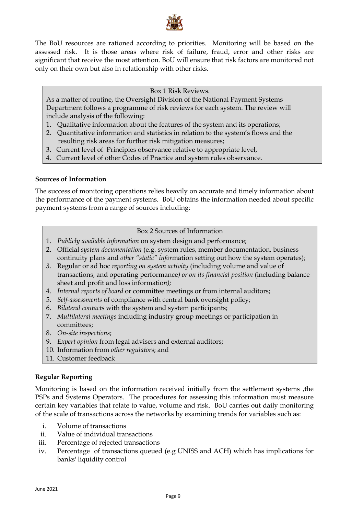

The BoU resources are rationed according to priorities.Monitoring will be based on the assessed risk. It is those areas where risk of failure, fraud, error and other risks are significant that receive the most attention. BoU will ensure that risk factors are monitored not only on their own but also in relationship with other risks.

### Box 1 Risk Reviews.

As a matter of routine, the Oversight Division of the National Payment Systems Department follows a programme of risk reviews for each system. The review will include analysis of the following:

- 1. Qualitative information about the features of the system and its operations;
- 2. Quantitative information and statistics in relation to the system's flows and the resulting risk areas for further risk mitigation measures;
- 3. Current level of Principles observance relative to appropriate level,
- 4. Current level of other Codes of Practice and system rules observance.

### **Sources of Information**

The success of monitoring operations relies heavily on accurate and timely information about the performance of the payment systems. BoU obtains the information needed about specific payment systems from a range of sources including:

### Box 2 Sources of Information

- 1. *Publicly available information* on system design and performance;
- 2. Official *system documentation* (e.g. system rules, member documentation, business continuity plans and *other "static" infor*mation setting out how the system operates);
- *3.* Regular or ad hoc *reporting on system activity* (including volume and value of transactions, and operating performance*) or on its financial position* (including balance sheet and profit and loss informatio*n);*
- 4. *Internal reports of board* or committee meetings or from internal auditors;
- 5. *Self-assessments* of compliance with central bank oversight policy;
- 6. *Bilateral contacts* with the system and system participants;
- 7. *Multilateral meetings* including industry group meetings or participation in committees;
- 8. *On-site inspections*;
- 9. *Expert opinion* from legal advisers and external auditors;
- 10. Information from *other regulators*; and
- 11. Customer feedback

### **Regular Reporting**

Monitoring is based on the information received initially from the settlement systems ,the PSPs and Systems Operators. The procedures for assessing this information must measure certain key variables that relate to value, volume and risk. BoU carries out daily monitoring of the scale of transactions across the networks by examining trends for variables such as:

- i. Volume of transactions
- ii. Value of individual transactions
- iii. Percentage of rejected transactions
- iv. Percentage of transactions queued (e.g UNISS and ACH) which has implications for banks' liquidity control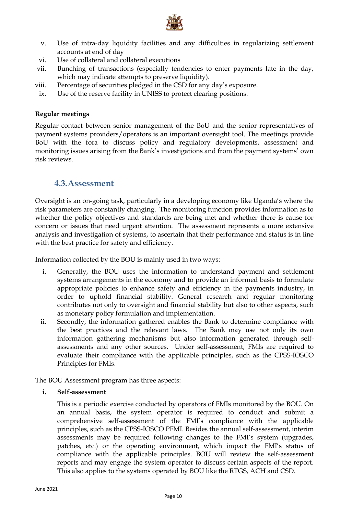

- v. Use of intra-day liquidity facilities and any difficulties in regularizing settlement accounts at end of day
- vi. Use of collateral and collateral executions
- vii. Bunching of transactions (especially tendencies to enter payments late in the day, which may indicate attempts to preserve liquidity).
- viii. Percentage of securities pledged in the CSD for any day's exposure.
- ix. Use of the reserve facility in UNISS to protect clearing positions.

### **Regular meetings**

Regular contact between senior management of the BoU and the senior representatives of payment systems providers/operators is an important oversight tool. The meetings provide BoU with the fora to discuss policy and regulatory developments, assessment and monitoring issues arising from the Bank's investigations and from the payment systems' own risk reviews.

### <span id="page-10-0"></span>**4.3.Assessment**

Oversight is an on-going task, particularly in a developing economy like Uganda's where the risk parameters are constantly changing. The monitoring function provides information as to whether the policy objectives and standards are being met and whether there is cause for concern or issues that need urgent attention. The assessment represents a more extensive analysis and investigation of systems, to ascertain that their performance and status is in line with the best practice for safety and efficiency.

Information collected by the BOU is mainly used in two ways:

- i. Generally, the BOU uses the information to understand payment and settlement systems arrangements in the economy and to provide an informed basis to formulate appropriate policies to enhance safety and efficiency in the payments industry, in order to uphold financial stability. General research and regular monitoring contributes not only to oversight and financial stability but also to other aspects, such as monetary policy formulation and implementation.
- ii. Secondly, the information gathered enables the Bank to determine compliance with the best practices and the relevant laws. The Bank may use not only its own information gathering mechanisms but also information generated through selfassessments and any other sources. Under self-assessment, FMIs are required to evaluate their compliance with the applicable principles, such as the CPSS-IOSCO Principles for FMIs.

The BOU Assessment program has three aspects:

**i. Self-assessment**

This is a periodic exercise conducted by operators of FMIs monitored by the BOU. On an annual basis, the system operator is required to conduct and submit a comprehensive self-assessment of the FMI's compliance with the applicable principles, such as the CPSS-IOSCO PFMI. Besides the annual self-assessment, interim assessments may be required following changes to the FMI's system (upgrades, patches, etc.) or the operating environment, which impact the FMI's status of compliance with the applicable principles. BOU will review the self-assessment reports and may engage the system operator to discuss certain aspects of the report. This also applies to the systems operated by BOU like the RTGS, ACH and CSD.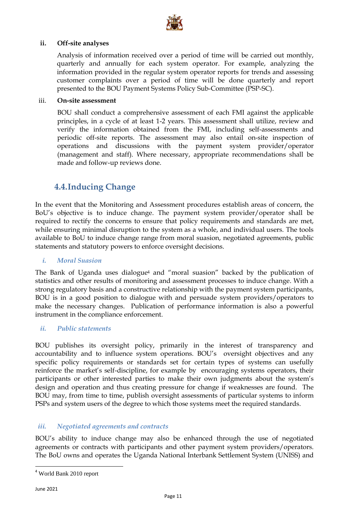

### **ii. Off-site analyses**

Analysis of information received over a period of time will be carried out monthly, quarterly and annually for each system operator. For example, analyzing the information provided in the regular system operator reports for trends and assessing customer complaints over a period of time will be done quarterly and report presented to the BOU Payment Systems Policy Sub-Committee (PSP-SC).

### iii. **On-site assessment**

BOU shall conduct a comprehensive assessment of each FMI against the applicable principles, in a cycle of at least 1-2 years. This assessment shall utilize, review and verify the information obtained from the FMI, including self-assessments and periodic off-site reports. The assessment may also entail on-site inspection of operations and discussions with the payment system provider/operator (management and staff). Where necessary, appropriate recommendations shall be made and follow-up reviews done.

# <span id="page-11-0"></span>**4.4.Inducing Change**

In the event that the Monitoring and Assessment procedures establish areas of concern, the BoU's objective is to induce change. The payment system provider/operator shall be required to rectify the concerns to ensure that policy requirements and standards are met, while ensuring minimal disruption to the system as a whole, and individual users. The tools available to BoU to induce change range from moral suasion, negotiated agreements, public statements and statutory powers to enforce oversight decisions.

### *i. Moral Suasion*

The Bank of Uganda uses dialogue<sup>4</sup> and "moral suasion" backed by the publication of statistics and other results of monitoring and assessment processes to induce change. With a strong regulatory basis and a constructive relationship with the payment system participants, BOU is in a good position to dialogue with and persuade system providers/operators to make the necessary changes. Publication of performance information is also a powerful instrument in the compliance enforcement.

### *ii. Public statements*

BOU publishes its oversight policy, primarily in the interest of transparency and accountability and to influence system operations. BOU's oversight objectives and any specific policy requirements or standards set for certain types of systems can usefully reinforce the market's self-discipline, for example by encouraging systems operators, their participants or other interested parties to make their own judgments about the system's design and operation and thus creating pressure for change if weaknesses are found. The BOU may, from time to time, publish oversight assessments of particular systems to inform PSPs and system users of the degree to which those systems meet the required standards.

### *iii. Negotiated agreements and contracts*

BOU's ability to induce change may also be enhanced through the use of negotiated agreements or contracts with participants and other payment system providers/operators. The BoU owns and operates the Uganda National Interbank Settlement System (UNISS) and

 $\ddot{\phantom{a}}$ 

<sup>4</sup> World Bank 2010 report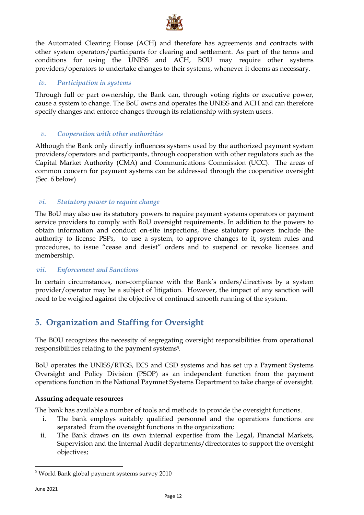

the Automated Clearing House (ACH) and therefore has agreements and contracts with other system operators/participants for clearing and settlement. As part of the terms and conditions for using the UNISS and ACH, BOU may require other systems providers/operators to undertake changes to their systems, whenever it deems as necessary.

### *iv. Participation in systems*

Through full or part ownership, the Bank can, through voting rights or executive power, cause a system to change. The BoU owns and operates the UNISS and ACH and can therefore specify changes and enforce changes through its relationship with system users.

### *v. Cooperation with other authorities*

Although the Bank only directly influences systems used by the authorized payment system providers/operators and participants, through cooperation with other regulators such as the Capital Market Authority (CMA) and Communications Commission (UCC). The areas of common concern for payment systems can be addressed through the cooperative oversight (Sec. 6 below)

### *vi. Statutory power to require change*

The BoU may also use its statutory powers to require payment systems operators or payment service providers to comply with BoU oversight requirements. In addition to the powers to obtain information and conduct on-site inspections, these statutory powers include the authority to license PSPs, to use a system, to approve changes to it, system rules and procedures, to issue "cease and desist" orders and to suspend or revoke licenses and membership.

### *vii. Enforcement and Sanctions*

In certain circumstances, non-compliance with the Bank's orders/directives by a system provider/operator may be a subject of litigation. However, the impact of any sanction will need to be weighed against the objective of continued smooth running of the system.

# <span id="page-12-0"></span>**5. Organization and Staffing for Oversight**

The BOU recognizes the necessity of segregating oversight responsibilities from operational responsibilities relating to the payment systems5.

BoU operates the UNISS/RTGS, ECS and CSD systems and has set up a Payment Systems Oversight and Policy Division (PSOP) as an independent function from the payment operations function in the National Paymnet Systems Department to take charge of oversight.

### **Assuring adequate resources**

The bank has available a number of tools and methods to provide the oversight functions.

- i. The bank employs suitably qualified personnel and the operations functions are separated from the oversight functions in the organization;
- ii. The Bank draws on its own internal expertise from the Legal, Financial Markets, Supervision and the Internal Audit departments/directorates to support the oversight objectives;

 $\overline{a}$ 

<sup>&</sup>lt;sup>5</sup> World Bank global payment systems survey 2010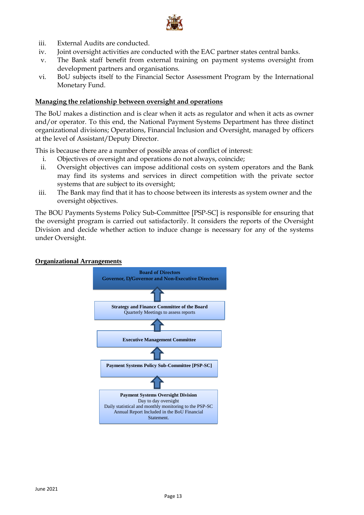

- iii. External Audits are conducted.
- iv. Joint oversight activities are conducted with the EAC partner states central banks.
- v. The Bank staff benefit from external training on payment systems oversight from development partners and organisations.
- vi. BoU subjects itself to the Financial Sector Assessment Program by the International Monetary Fund.

#### **Managing the relationship between oversight and operations**

The BoU makes a distinction and is clear when it acts as regulator and when it acts as owner and/or operator. To this end, the National Payment Systems Department has three distinct organizational divisions; Operations, Financial Inclusion and Oversight, managed by officers at the level of Assistant/Deputy Director.

This is because there are a number of possible areas of conflict of interest:

- i. Objectives of oversight and operations do not always, coincide;
- ii. Oversight objectives can impose additional costs on system operators and the Bank may find its systems and services in direct competition with the private sector systems that are subject to its oversight;
- iii. The Bank may find that it has to choose between its interests as system owner and the oversight objectives.

The BOU Payments Systems Policy Sub-Committee [PSP-SC] is responsible for ensuring that the oversight program is carried out satisfactorily. It considers the reports of the Oversight Division and decide whether action to induce change is necessary for any of the systems under Oversight.

#### **Organizational Arrangements**

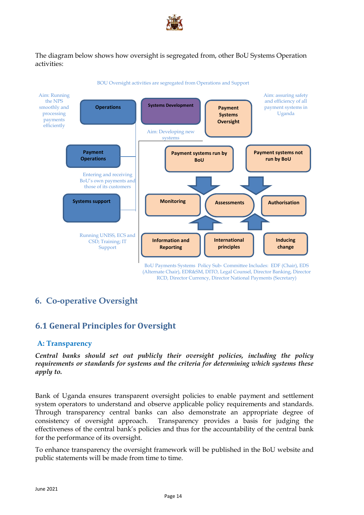

The diagram below shows how oversight is segregated from, other BoU Systems Operation activities:



BOU Oversight activities are segregated from Operations and Support

BoU Payments Systems Policy Sub- Committee Includes: EDF (Chair), EDS (Alternate Chair), EDR&SM, DITO, Legal Counsel, Director Banking, Director RCD, Director Currency, Director National Payments (Secretary)

# <span id="page-14-1"></span><span id="page-14-0"></span>**6. Co-operative Oversight**

# **6.1 General Principles for Oversight**

### **A: Transparency**

*Central banks should set out publicly their oversight policies, including the policy requirements or standards for systems and the criteria for determining which systems these apply to.* 

Bank of Uganda ensures transparent oversight policies to enable payment and settlement system operators to understand and observe applicable policy requirements and standards. Through transparency central banks can also demonstrate an appropriate degree of consistency of oversight approach. Transparency provides a basis for judging the effectiveness of the central bank's policies and thus for the accountability of the central bank for the performance of its oversight.

To enhance transparency the oversight framework will be published in the BoU website and public statements will be made from time to time.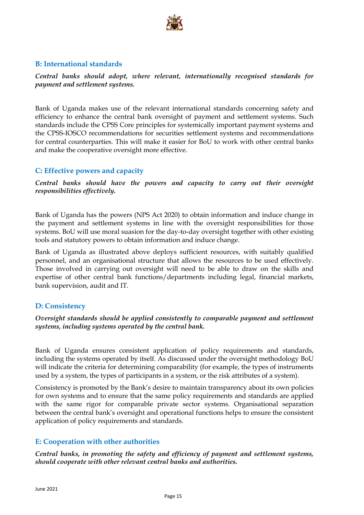

### **B: International standards**

*Central banks should adopt, where relevant, internationally recognised standards for payment and settlement systems.* 

Bank of Uganda makes use of the relevant international standards concerning safety and efficiency to enhance the central bank oversight of payment and settlement systems. Such standards include the CPSS Core principles for systemically important payment systems and the CPSS-IOSCO recommendations for securities settlement systems and recommendations for central counterparties. This will make it easier for BoU to work with other central banks and make the cooperative oversight more effective.

### **C: Effective powers and capacity**

*Central banks should have the powers and capacity to carry out their oversight responsibilities effectively.* 

Bank of Uganda has the powers (NPS Act 2020) to obtain information and induce change in the payment and settlement systems in line with the oversight responsibilities for those systems. BoU will use moral suasion for the day-to-day oversight together with other existing tools and statutory powers to obtain information and induce change.

Bank of Uganda as illustrated above deploys sufficient resources, with suitably qualified personnel, and an organisational structure that allows the resources to be used effectively. Those involved in carrying out oversight will need to be able to draw on the skills and expertise of other central bank functions/departments including legal, financial markets, bank supervision, audit and IT.

### **D: Consistency**

### *Oversight standards should be applied consistently to comparable payment and settlement systems, including systems operated by the central bank.*

Bank of Uganda ensures consistent application of policy requirements and standards, including the systems operated by itself. As discussed under the oversight methodology BoU will indicate the criteria for determining comparability (for example, the types of instruments used by a system, the types of participants in a system, or the risk attributes of a system).

Consistency is promoted by the Bank's desire to maintain transparency about its own policies for own systems and to ensure that the same policy requirements and standards are applied with the same rigor for comparable private sector systems. Organisational separation between the central bank's oversight and operational functions helps to ensure the consistent application of policy requirements and standards.

### **E: Cooperation with other authorities**

*Central banks, in promoting the safety and efficiency of payment and settlement systems, should cooperate with other relevant central banks and authorities.*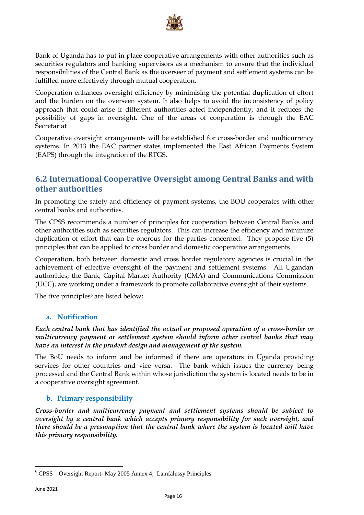

Bank of Uganda has to put in place cooperative arrangements with other authorities such as securities regulators and banking supervisors as a mechanism to ensure that the individual responsibilities of the Central Bank as the overseer of payment and settlement systems can be fulfilled more effectively through mutual cooperation.

Cooperation enhances oversight efficiency by minimising the potential duplication of effort and the burden on the overseen system. It also helps to avoid the inconsistency of policy approach that could arise if different authorities acted independently, and it reduces the possibility of gaps in oversight. One of the areas of cooperation is through the EAC Secretariat

Cooperative oversight arrangements will be established for cross-border and multicurrency systems. In 2013 the EAC partner states implemented the East African Payments System (EAPS) through the integration of the RTGS.

### <span id="page-16-0"></span>**6.2 International Cooperative Oversight among Central Banks and with other authorities**

In promoting the safety and efficiency of payment systems, the BOU cooperates with other central banks and authorities.

The CPSS recommends a number of principles for cooperation between Central Banks and other authorities such as securities regulators. This can increase the efficiency and minimize duplication of effort that can be onerous for the parties concerned. They propose five (5) principles that can be applied to cross border and domestic cooperative arrangements.

Cooperation, both between domestic and cross border regulatory agencies is crucial in the achievement of effective oversight of the payment and settlement systems. All Ugandan authorities; the Bank, Capital Market Authority (CMA) and Communications Commission (UCC), are working under a framework to promote collaborative oversight of their systems.

The five principles<sup>6</sup> are listed below;

### **a. Notification**

*Each central bank that has identified the actual or proposed operation of a cross-border or multicurrency payment or settlement system should inform other central banks that may have an interest in the prudent design and management of the system.*

The BoU needs to inform and be informed if there are operators in Uganda providing services for other countries and vice versa. The bank which issues the currency being processed and the Central Bank within whose jurisdiction the system is located needs to be in a cooperative oversight agreement.

### **b. Primary responsibility**

*Cross-border and multicurrency payment and settlement systems should be subject to oversight by a central bank which accepts primary responsibility for such oversight, and there should be a presumption that the central bank where the system is located will have this primary responsibility.*

 $\ddot{\phantom{a}}$ 

<sup>6</sup> CPSS – Oversight Report- May 2005 Annex 4; Lamfalussy Principles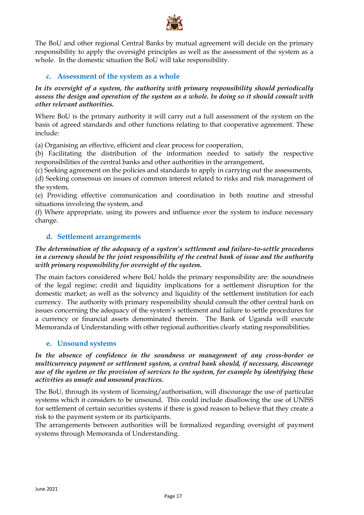

The BoU and other regional Central Banks by mutual agreement will decide on the primary responsibility to apply the oversight principles as well as the assessment of the system as a whole. In the domestic situation the BoU will take responsibility.

### **c. Assessment of the system as a whole**

### *In its oversight of a system, the authority with primary responsibility should periodically assess the design and operation of the system as a whole. In doing so it should consult with other relevant authorities.*

Where BoU is the primary authority it will carry out a full assessment of the system on the basis of agreed standards and other functions relating to that cooperative agreement. These include:

(a) Organising an effective, efficient and clear process for cooperation,

(b) Facilitating the distribution of the information needed to satisfy the respective responsibilities of the central banks and other authorities in the arrangement,

(c) Seeking agreement on the policies and standards to apply in carrying out the assessments, (d) Seeking consensus on issues of common interest related to risks and risk management of the system,

(e) Providing effective communication and coordination in both routine and stressful situations involving the system, and

(f) Where appropriate, using its powers and influence over the system to induce necessary change.

### **d. Settlement arrangements**

### *The determination of the adequacy of a system's settlement and failure-to-settle procedures in a currency should be the joint responsibility of the central bank of issue and the authority with primary responsibility for oversight of the system.*

The main factors considered where BoU holds the primary responsibility are: the soundness of the legal regime; credit and liquidity implications for a settlement disruption for the domestic market; as well as the solvency and liquidity of the settlement institution for each currency. The authority with primary responsibility should consult the other central bank on issues concerning the adequacy of the system's settlement and failure to settle procedures for a currency or financial assets denominated therein. The Bank of Uganda will execute Memoranda of Understanding with other regional authorities clearly stating responsibilities.

### **e. Unsound systems**

### In the absence of confidence in the soundness or management of any cross-border or *multicurrency payment or settlement system, a central bank should, if necessary, discourage use of the system or the provision of services to the system, for example by identifying these activities as unsafe and unsound practices.*

The BoU, through its system of licensing/authorisation, will discourage the use of particular systems which it considers to be unsound. This could include disallowing the use of UNISS for settlement of certain securities systems if there is good reason to believe that they create a risk to the payment system or its participants.

The arrangements between authorities will be formalized regarding oversight of payment systems through Memoranda of Understanding.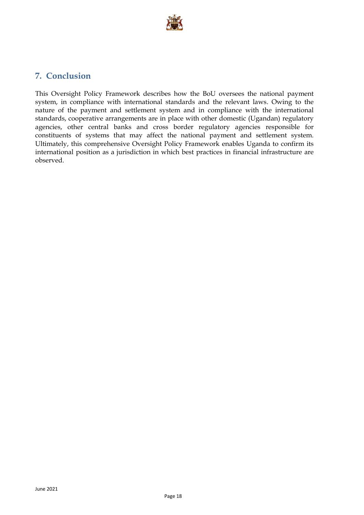

# <span id="page-18-0"></span>**7. Conclusion**

This Oversight Policy Framework describes how the BoU oversees the national payment system, in compliance with international standards and the relevant laws. Owing to the nature of the payment and settlement system and in compliance with the international standards, cooperative arrangements are in place with other domestic (Ugandan) regulatory agencies, other central banks and cross border regulatory agencies responsible for constituents of systems that may affect the national payment and settlement system. Ultimately, this comprehensive Oversight Policy Framework enables Uganda to confirm its international position as a jurisdiction in which best practices in financial infrastructure are observed.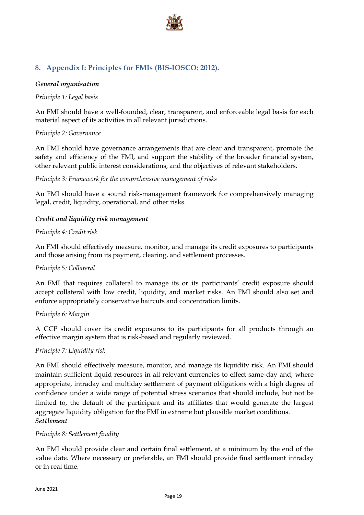

### <span id="page-19-0"></span>**8. Appendix I: Principles for FMIs (BIS-IOSCO: 2012).**

### *General organisation*

### *Principle 1: Legal basis*

An FMI should have a well-founded, clear, transparent, and enforceable legal basis for each material aspect of its activities in all relevant jurisdictions.

### *Principle 2: Governance*

An FMI should have governance arrangements that are clear and transparent, promote the safety and efficiency of the FMI, and support the stability of the broader financial system, other relevant public interest considerations, and the objectives of relevant stakeholders.

### *Principle 3: Framework for the comprehensive management of risks*

An FMI should have a sound risk-management framework for comprehensively managing legal, credit, liquidity, operational, and other risks.

### *Credit and liquidity risk management*

### *Principle 4: Credit risk*

An FMI should effectively measure, monitor, and manage its credit exposures to participants and those arising from its payment, clearing, and settlement processes.

### *Principle 5: Collateral*

An FMI that requires collateral to manage its or its participants' credit exposure should accept collateral with low credit, liquidity, and market risks. An FMI should also set and enforce appropriately conservative haircuts and concentration limits.

### *Principle 6: Margin*

A CCP should cover its credit exposures to its participants for all products through an effective margin system that is risk-based and regularly reviewed.

### *Principle 7: Liquidity risk*

An FMI should effectively measure, monitor, and manage its liquidity risk. An FMI should maintain sufficient liquid resources in all relevant currencies to effect same-day and, where appropriate, intraday and multiday settlement of payment obligations with a high degree of confidence under a wide range of potential stress scenarios that should include, but not be limited to, the default of the participant and its affiliates that would generate the largest aggregate liquidity obligation for the FMI in extreme but plausible market conditions. *Settlement*

### *Principle 8: Settlement finality*

An FMI should provide clear and certain final settlement, at a minimum by the end of the value date. Where necessary or preferable, an FMI should provide final settlement intraday or in real time.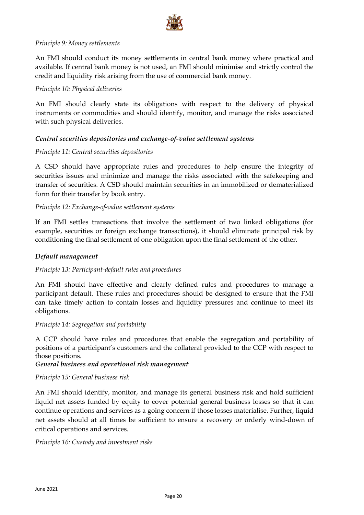

### *Principle 9: Money settlements*

An FMI should conduct its money settlements in central bank money where practical and available. If central bank money is not used, an FMI should minimise and strictly control the credit and liquidity risk arising from the use of commercial bank money.

### *Principle 10: Physical deliveries*

An FMI should clearly state its obligations with respect to the delivery of physical instruments or commodities and should identify, monitor, and manage the risks associated with such physical deliveries.

### *Central securities depositories and exchange-of-value settlement systems*

### *Principle 11: Central securities depositories*

A CSD should have appropriate rules and procedures to help ensure the integrity of securities issues and minimize and manage the risks associated with the safekeeping and transfer of securities. A CSD should maintain securities in an immobilized or dematerialized form for their transfer by book entry.

### *Principle 12: Exchange-of-value settlement systems*

If an FMI settles transactions that involve the settlement of two linked obligations (for example, securities or foreign exchange transactions), it should eliminate principal risk by conditioning the final settlement of one obligation upon the final settlement of the other.

### *Default management*

### *Principle 13: Participant-default rules and procedures*

An FMI should have effective and clearly defined rules and procedures to manage a participant default. These rules and procedures should be designed to ensure that the FMI can take timely action to contain losses and liquidity pressures and continue to meet its obligations.

### *Principle 14: Segregation and portability*

A CCP should have rules and procedures that enable the segregation and portability of positions of a participant's customers and the collateral provided to the CCP with respect to those positions.

### *General business and operational risk management*

### *Principle 15: General business risk*

An FMI should identify, monitor, and manage its general business risk and hold sufficient liquid net assets funded by equity to cover potential general business losses so that it can continue operations and services as a going concern if those losses materialise. Further, liquid net assets should at all times be sufficient to ensure a recovery or orderly wind-down of critical operations and services.

### *Principle 16: Custody and investment risks*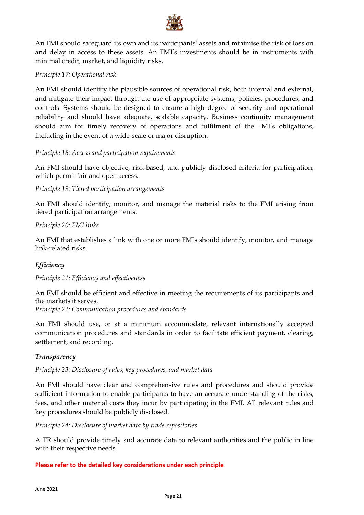

An FMI should safeguard its own and its participants' assets and minimise the risk of loss on and delay in access to these assets. An FMI's investments should be in instruments with minimal credit, market, and liquidity risks.

### *Principle 17: Operational risk*

An FMI should identify the plausible sources of operational risk, both internal and external, and mitigate their impact through the use of appropriate systems, policies, procedures, and controls. Systems should be designed to ensure a high degree of security and operational reliability and should have adequate, scalable capacity. Business continuity management should aim for timely recovery of operations and fulfilment of the FMI's obligations, including in the event of a wide-scale or major disruption.

### *Principle 18: Access and participation requirements*

An FMI should have objective, risk-based, and publicly disclosed criteria for participation, which permit fair and open access.

### *Principle 19: Tiered participation arrangements*

An FMI should identify, monitor, and manage the material risks to the FMI arising from tiered participation arrangements.

### *Principle 20: FMI links*

An FMI that establishes a link with one or more FMIs should identify, monitor, and manage link-related risks.

### *Efficiency*

### *Principle 21: Efficiency and effectiveness*

An FMI should be efficient and effective in meeting the requirements of its participants and the markets it serves. *Principle 22: Communication procedures and standards*

An FMI should use, or at a minimum accommodate, relevant internationally accepted communication procedures and standards in order to facilitate efficient payment, clearing, settlement, and recording.

### *Transparency*

### *Principle 23: Disclosure of rules, key procedures, and market data*

An FMI should have clear and comprehensive rules and procedures and should provide sufficient information to enable participants to have an accurate understanding of the risks, fees, and other material costs they incur by participating in the FMI. All relevant rules and key procedures should be publicly disclosed.

*Principle 24: Disclosure of market data by trade repositories*

A TR should provide timely and accurate data to relevant authorities and the public in line with their respective needs.

### **Please refer to the detailed key considerations under each principle**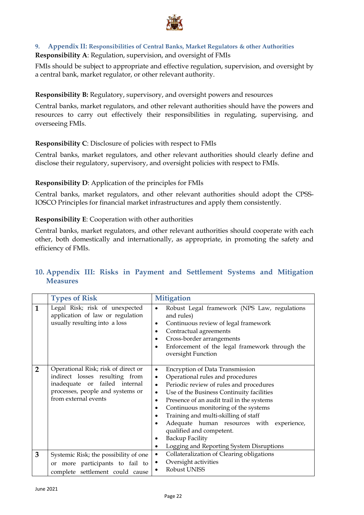

### <span id="page-22-0"></span>**9. Appendix II: Responsibilities of Central Banks, Market Regulators & other Authorities Responsibility A**: Regulation, supervision, and oversight of FMIs

FMIs should be subject to appropriate and effective regulation, supervision, and oversight by a central bank, market regulator, or other relevant authority.

### **Responsibility B:** Regulatory, supervisory, and oversight powers and resources

Central banks, market regulators, and other relevant authorities should have the powers and resources to carry out effectively their responsibilities in regulating, supervising, and overseeing FMIs.

### **Responsibility C**: Disclosure of policies with respect to FMIs

Central banks, market regulators, and other relevant authorities should clearly define and disclose their regulatory, supervisory, and oversight policies with respect to FMIs.

### **Responsibility D**: Application of the principles for FMIs

Central banks, market regulators, and other relevant authorities should adopt the CPSS-IOSCO Principles for financial market infrastructures and apply them consistently.

### **Responsibility E**: Cooperation with other authorities

Central banks, market regulators, and other relevant authorities should cooperate with each other, both domestically and internationally, as appropriate, in promoting the safety and efficiency of FMIs.

### <span id="page-22-1"></span>**10. Appendix III: Risks in Payment and Settlement Systems and Mitigation Measures**

|                | <b>Types of Risk</b>                                                                                                                                                  | <b>Mitigation</b>                                                                                                                                                                                                                                                                                                                                                                                                                                                                                                                         |
|----------------|-----------------------------------------------------------------------------------------------------------------------------------------------------------------------|-------------------------------------------------------------------------------------------------------------------------------------------------------------------------------------------------------------------------------------------------------------------------------------------------------------------------------------------------------------------------------------------------------------------------------------------------------------------------------------------------------------------------------------------|
| $\mathbf{1}$   | Legal Risk; risk of unexpected<br>application of law or regulation<br>usually resulting into a loss                                                                   | Robust Legal framework (NPS Law, regulations<br>and rules)<br>Continuous review of legal framework<br>Contractual agreements<br>$\bullet$<br>Cross-border arrangements<br>$\bullet$<br>Enforcement of the legal framework through the<br>oversight Function                                                                                                                                                                                                                                                                               |
| $\overline{2}$ | Operational Risk; risk of direct or<br>indirect losses resulting from<br>failed internal<br>inadequate or<br>processes, people and systems or<br>from external events | <b>Encryption of Data Transmission</b><br>$\bullet$<br>Operational rules and procedures<br>$\bullet$<br>Periodic review of rules and procedures<br>$\bullet$<br>Use of the Business Continuity facilities<br>$\bullet$<br>Presence of an audit trail in the systems<br>$\bullet$<br>Continuous monitoring of the systems<br>$\bullet$<br>Training and multi-skilling of staff<br>Adequate human resources with experience,<br>qualified and competent.<br><b>Backup Facility</b><br>Logging and Reporting System Disruptions<br>$\bullet$ |
| 3              | Systemic Risk; the possibility of one                                                                                                                                 | Collateralization of Clearing obligations<br>$\bullet$                                                                                                                                                                                                                                                                                                                                                                                                                                                                                    |
|                | or more participants to fail to                                                                                                                                       | Oversight activities<br>Robust UNISS                                                                                                                                                                                                                                                                                                                                                                                                                                                                                                      |
|                | complete settlement could cause                                                                                                                                       |                                                                                                                                                                                                                                                                                                                                                                                                                                                                                                                                           |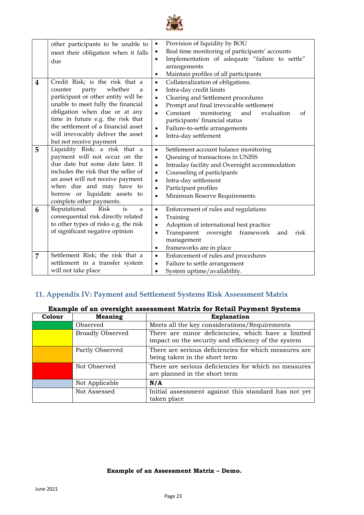

|                         | other participants to be unable to     | Provision of liquidity by BOU<br>$\bullet$                     |
|-------------------------|----------------------------------------|----------------------------------------------------------------|
|                         | meet their obligation when it falls    | Real time monitoring of participants' accounts<br>٠            |
|                         | due                                    | Implementation of adequate "failure to settle"                 |
|                         |                                        | arrangements                                                   |
|                         |                                        | Maintain profiles of all participants<br>٠                     |
| $\overline{\mathbf{4}}$ | Credit Risk; is the risk that a        | Collateralization of obligations.<br>$\bullet$                 |
|                         | whether<br>counter<br>party<br>a       | Intra-day credit limits<br>٠                                   |
|                         | participant or other entity will be    | Clearing and Settlement procedures<br>$\bullet$                |
|                         | unable to meet fully the financial     | Prompt and final irrevocable settlement                        |
|                         | obligation when due or at any          | Constant<br>monitoring<br>and<br>evaluation<br>of<br>$\bullet$ |
|                         | time in future e.g. the risk that      | participants' financial status                                 |
|                         | the settlement of a financial asset    | Failure-to-settle arrangements<br>$\bullet$                    |
|                         | will irrevocably deliver the asset     | Intra-day settlement<br>$\bullet$                              |
|                         | but not receive payment                |                                                                |
| 5                       | Liquidity Risk; a risk that a          | Settlement account balance monitoring<br>$\bullet$             |
|                         | payment will not occur on the          | Queuing of transactions in UNISS<br>$\bullet$                  |
|                         | due date but some date later. It       | Intraday facility and Overnight accommodation<br>$\bullet$     |
|                         | includes the risk that the seller of   | Counseling of participants<br>$\bullet$                        |
|                         | an asset will not receive payment      | Intra-day settlement                                           |
|                         | when due and may have to               | Participant profiles                                           |
|                         | borrow or liquidate assets to          | Minimum Reserve Requirements<br>$\bullet$                      |
|                         | complete other payments.               |                                                                |
| 6                       | <b>Risk</b><br>Reputational<br>is<br>a | Enforcement of rules and regulations<br>$\bullet$              |
|                         | consequential risk directly related    | Training<br>$\bullet$                                          |
|                         | to other types of risks e.g. the risk  | Adoption of international best practice                        |
|                         | of significant negative opinion        | Transparent<br>oversight framework<br>risk<br>and<br>$\bullet$ |
|                         |                                        | management                                                     |
|                         |                                        | frameworks are in place<br>$\bullet$                           |
| $\overline{7}$          | Settlement Risk; the risk that a       | Enforcement of rules and procedures<br>$\bullet$               |
|                         | settlement in a transfer system        | Failure to settle arrangement<br>$\bullet$                     |
|                         | will not take place                    | System uptime/availability.<br>$\bullet$                       |
|                         |                                        |                                                                |

### <span id="page-23-0"></span>**11. Appendix IV: Payment and Settlement Systems Risk Assessment Matrix**

### **Example of an oversight assessment Matrix for Retail Payment Systems**

| Colour | <b>Meaning</b>          | <b>Explanation</b>                                                                                        |
|--------|-------------------------|-----------------------------------------------------------------------------------------------------------|
|        | Observed                | Meets all the key considerations/Requirements                                                             |
|        | <b>Broadly Observed</b> | There are minor deficiencies, which have a limited<br>impact on the security and efficiency of the system |
|        | Partly Observed         | There are serious deficiencies for which measures are<br>being taken in the short term                    |
|        | Not Observed            | There are serious deficiencies for which no measures<br>are planned in the short term                     |
|        | Not Applicable          | N/A                                                                                                       |
|        | Not Assessed            | Initial assessment against this standard has not yet<br>taken place                                       |

### **Example of an Assessment Matrix – Demo.**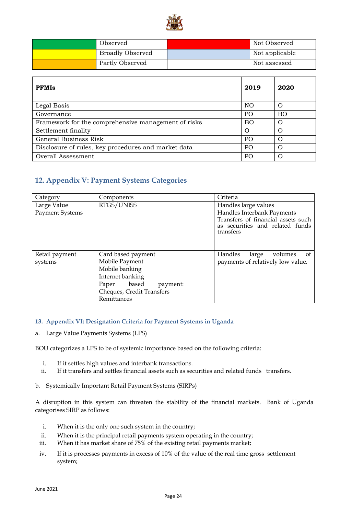

| Observed                | Not Observed   |
|-------------------------|----------------|
| <b>Broadly Observed</b> | Not applicable |
| Partly Observed         | Not assessed   |

| <b>PFMIs</b>                                        | 2019           | 2020      |
|-----------------------------------------------------|----------------|-----------|
| Legal Basis                                         | NO             |           |
| Governance                                          | P <sub>O</sub> | <b>BO</b> |
| Framework for the comprehensive management of risks | B <sub>O</sub> |           |
| Settlement finality                                 | $\Omega$       |           |
| General Business Risk                               | PO             |           |
| Disclosure of rules, key procedures and market data |                |           |
| Overall Assessment                                  | P <sub>O</sub> |           |

### <span id="page-24-0"></span>**12. Appendix V: Payment Systems Categories**

| Category                              | Components                | Criteria                                                                                 |
|---------------------------------------|---------------------------|------------------------------------------------------------------------------------------|
| Large Value<br><b>Payment Systems</b> | RTGS/UNISS                | Handles large values<br>Handles Interbank Payments<br>Transfers of financial assets such |
|                                       |                           | as securities and related funds<br>transfers                                             |
| Retail payment                        | Card based payment        | Handles<br>volumes<br>large<br>οt                                                        |
| systems                               | Mobile Payment            | payments of relatively low value.                                                        |
|                                       | Mobile banking            |                                                                                          |
|                                       | Internet banking          |                                                                                          |
|                                       | Paper based<br>payment:   |                                                                                          |
|                                       | Cheques, Credit Transfers |                                                                                          |
|                                       | Remittances               |                                                                                          |

#### <span id="page-24-1"></span>**13. Appendix VI: Designation Criteria for Payment Systems in Uganda**

a. Large Value Payments Systems (LPS)

BOU categorizes a LPS to be of systemic importance based on the following criteria:

- i. If it settles high values and interbank transactions.
- ii. If it transfers and settles financial assets such as securities and related funds transfers.
- b. Systemically Important Retail Payment Systems (SIRPs)

A disruption in this system can threaten the stability of the financial markets. Bank of Uganda categorises SIRP as follows:

- i. When it is the only one such system in the country;
- ii. When it is the principal retail payments system operating in the country;
- iii. When it has market share of 75% of the existing retail payments market;
- iv. If it is processes payments in excess of 10% of the value of the real time gross settlement system;